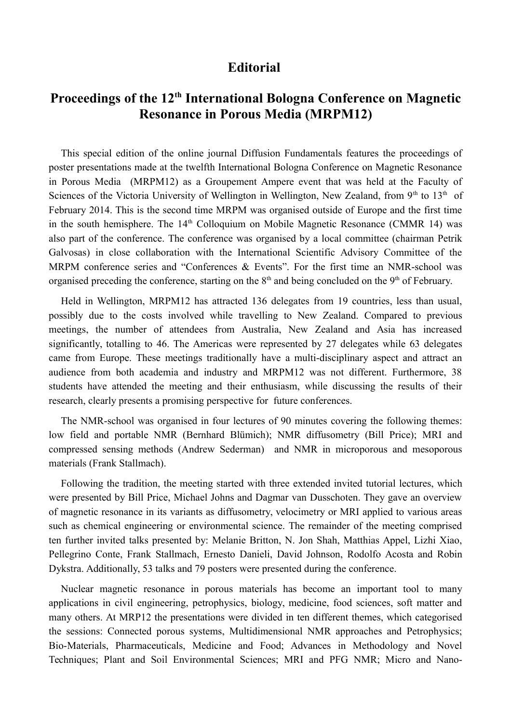## **Editorial**

## **Proceedings of the 12th International Bologna Conference on Magnetic Resonance in Porous Media (MRPM12)**

This special edition of the online journal Diffusion Fundamentals features the proceedings of poster presentations made at the twelfth International Bologna Conference on Magnetic Resonance in Porous Media (MRPM12) as a Groupement Ampere event that was held at the Faculty of Sciences of the Victoria University of Wellington in Wellington, New Zealand, from  $9<sup>th</sup>$  to  $13<sup>th</sup>$  of February 2014. This is the second time MRPM was organised outside of Europe and the first time in the south hemisphere. The  $14<sup>th</sup>$  Colloquium on Mobile Magnetic Resonance (CMMR 14) was also part of the conference. The conference was organised by a local committee (chairman Petrik Galvosas) in close collaboration with the International Scientific Advisory Committee of the MRPM conference series and "Conferences & Events". For the first time an NMR-school was organised preceding the conference, starting on the  $8<sup>th</sup>$  and being concluded on the  $9<sup>th</sup>$  of February.

Held in Wellington, MRPM12 has attracted 136 delegates from 19 countries, less than usual, possibly due to the costs involved while travelling to New Zealand. Compared to previous meetings, the number of attendees from Australia, New Zealand and Asia has increased significantly, totalling to 46. The Americas were represented by 27 delegates while 63 delegates came from Europe. These meetings traditionally have a multi-disciplinary aspect and attract an audience from both academia and industry and MRPM12 was not different. Furthermore, 38 students have attended the meeting and their enthusiasm, while discussing the results of their research, clearly presents a promising perspective for future conferences.

The NMR-school was organised in four lectures of 90 minutes covering the following themes: low field and portable NMR (Bernhard Blümich); NMR diffusometry (Bill Price); MRI and compressed sensing methods (Andrew Sederman) and NMR in microporous and mesoporous materials (Frank Stallmach).

Following the tradition, the meeting started with three extended invited tutorial lectures, which were presented by Bill Price, Michael Johns and Dagmar van Dusschoten. They gave an overview of magnetic resonance in its variants as diffusometry, velocimetry or MRI applied to various areas such as chemical engineering or environmental science. The remainder of the meeting comprised ten further invited talks presented by: Melanie Britton, N. Jon Shah, Matthias Appel, Lizhi Xiao, Pellegrino Conte, Frank Stallmach, Ernesto Danieli, David Johnson, Rodolfo Acosta and Robin Dykstra. Additionally, 53 talks and 79 posters were presented during the conference.

Nuclear magnetic resonance in porous materials has become an important tool to many applications in civil engineering, petrophysics, biology, medicine, food sciences, soft matter and many others. At MRP12 the presentations were divided in ten different themes, which categorised the sessions: Connected porous systems, Multidimensional NMR approaches and Petrophysics; Bio-Materials, Pharmaceuticals, Medicine and Food; Advances in Methodology and Novel Techniques; Plant and Soil Environmental Sciences; MRI and PFG NMR; Micro and Nano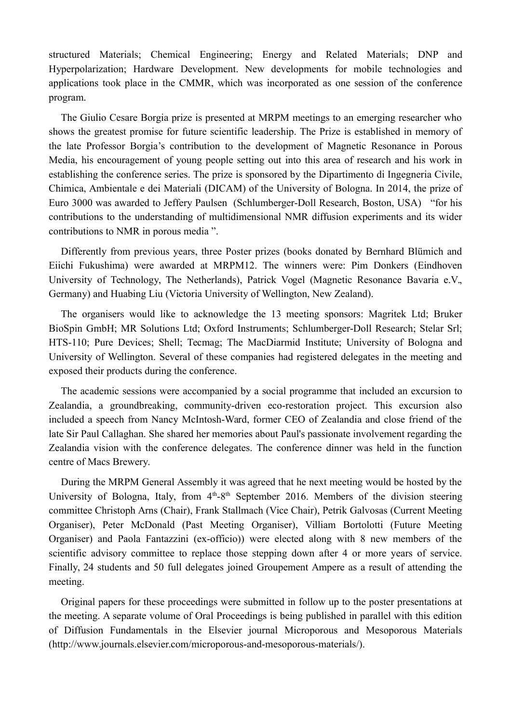structured Materials; Chemical Engineering; Energy and Related Materials; DNP and Hyperpolarization; Hardware Development. New developments for mobile technologies and applications took place in the CMMR, which was incorporated as one session of the conference program.

The Giulio Cesare Borgia prize is presented at MRPM meetings to an emerging researcher who shows the greatest promise for future scientific leadership. The Prize is established in memory of the late Professor Borgia's contribution to the development of Magnetic Resonance in Porous Media, his encouragement of young people setting out into this area of research and his work in establishing the conference series. The prize is sponsored by the Dipartimento di Ingegneria Civile, Chimica, Ambientale e dei Materiali (DICAM) of the University of Bologna. In 2014, the prize of Euro 3000 was awarded to Jeffery Paulsen (Schlumberger-Doll Research, Boston, USA) "for his contributions to the understanding of multidimensional NMR diffusion experiments and its wider contributions to NMR in porous media ".

Differently from previous years, three Poster prizes (books donated by Bernhard Blümich and Eiichi Fukushima) were awarded at MRPM12. The winners were: Pim Donkers (Eindhoven University of Technology, The Netherlands), Patrick Vogel (Magnetic Resonance Bavaria e.V., Germany) and Huabing Liu (Victoria University of Wellington, New Zealand).

The organisers would like to acknowledge the 13 meeting sponsors: Magritek Ltd; Bruker BioSpin GmbH; MR Solutions Ltd; Oxford Instruments; Schlumberger-Doll Research; Stelar Srl; HTS-110; Pure Devices; Shell; Tecmag; The MacDiarmid Institute; University of Bologna and University of Wellington. Several of these companies had registered delegates in the meeting and exposed their products during the conference.

The academic sessions were accompanied by a social programme that included an excursion to Zealandia, a groundbreaking, community-driven eco-restoration project. This excursion also included a speech from Nancy McIntosh-Ward, former CEO of Zealandia and close friend of the late Sir Paul Callaghan. She shared her memories about Paul's passionate involvement regarding the Zealandia vision with the conference delegates. The conference dinner was held in the function centre of Macs Brewery.

During the MRPM General Assembly it was agreed that he next meeting would be hosted by the University of Bologna, Italy, from  $4<sup>th</sup>-8<sup>th</sup>$  September 2016. Members of the division steering committee Christoph Arns (Chair), Frank Stallmach (Vice Chair), Petrik Galvosas (Current Meeting Organiser), Peter McDonald (Past Meeting Organiser), Villiam Bortolotti (Future Meeting Organiser) and Paola Fantazzini (ex-officio)) were elected along with 8 new members of the scientific advisory committee to replace those stepping down after 4 or more years of service. Finally, 24 students and 50 full delegates joined Groupement Ampere as a result of attending the meeting.

Original papers for these proceedings were submitted in follow up to the poster presentations at the meeting. A separate volume of Oral Proceedings is being published in parallel with this edition of Diffusion Fundamentals in the Elsevier journal Microporous and Mesoporous Materials (http://www.journals.elsevier.com/microporous-and-mesoporous-materials/).